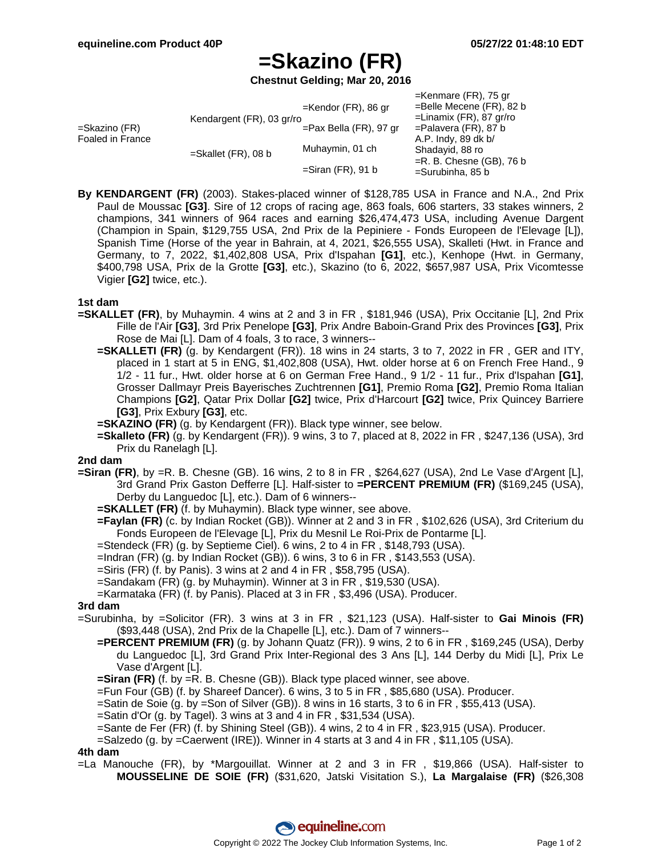$V$ enmare  $(FD)$ , 75 gr

# **=Skazino (FR)**

**Chestnut Gelding; Mar 20, 2016**

| $=$ Belle Mecene (FR), 82 b |
|-----------------------------|
| $=$ Linamix (FR), 87 gr/ro  |
|                             |
|                             |
|                             |
| $=R. B.$ Chesne (GB), 76 b  |
| $=$ Surubinha, 85 b         |
|                             |

**By KENDARGENT (FR)** (2003). Stakes-placed winner of \$128,785 USA in France and N.A., 2nd Prix Paul de Moussac **[G3]**. Sire of 12 crops of racing age, 863 foals, 606 starters, 33 stakes winners, 2 champions, 341 winners of 964 races and earning \$26,474,473 USA, including Avenue Dargent (Champion in Spain, \$129,755 USA, 2nd Prix de la Pepiniere - Fonds Europeen de l'Elevage [L]), Spanish Time (Horse of the year in Bahrain, at 4, 2021, \$26,555 USA), Skalleti (Hwt. in France and Germany, to 7, 2022, \$1,402,808 USA, Prix d'Ispahan **[G1]**, etc.), Kenhope (Hwt. in Germany, \$400,798 USA, Prix de la Grotte **[G3]**, etc.), Skazino (to 6, 2022, \$657,987 USA, Prix Vicomtesse Vigier **[G2]** twice, etc.).

### **1st dam**

- **=SKALLET (FR)**, by Muhaymin. 4 wins at 2 and 3 in FR , \$181,946 (USA), Prix Occitanie [L], 2nd Prix Fille de l'Air **[G3]**, 3rd Prix Penelope **[G3]**, Prix Andre Baboin-Grand Prix des Provinces **[G3]**, Prix Rose de Mai [L]. Dam of 4 foals, 3 to race, 3 winners--
	- **=SKALLETI (FR)** (g. by Kendargent (FR)). 18 wins in 24 starts, 3 to 7, 2022 in FR , GER and ITY, placed in 1 start at 5 in ENG, \$1,402,808 (USA), Hwt. older horse at 6 on French Free Hand., 9 1/2 - 11 fur., Hwt. older horse at 6 on German Free Hand., 9 1/2 - 11 fur., Prix d'Ispahan **[G1]**, Grosser Dallmayr Preis Bayerisches Zuchtrennen **[G1]**, Premio Roma **[G2]**, Premio Roma Italian Champions **[G2]**, Qatar Prix Dollar **[G2]** twice, Prix d'Harcourt **[G2]** twice, Prix Quincey Barriere **[G3]**, Prix Exbury **[G3]**, etc.
	- **=SKAZINO (FR)** (g. by Kendargent (FR)). Black type winner, see below.
	- **=Skalleto (FR)** (g. by Kendargent (FR)). 9 wins, 3 to 7, placed at 8, 2022 in FR , \$247,136 (USA), 3rd Prix du Ranelagh [L].

#### **2nd dam**

- **=Siran (FR)**, by =R. B. Chesne (GB). 16 wins, 2 to 8 in FR , \$264,627 (USA), 2nd Le Vase d'Argent [L], 3rd Grand Prix Gaston Defferre [L]. Half-sister to **=PERCENT PREMIUM (FR)** (\$169,245 (USA), Derby du Languedoc [L], etc.). Dam of 6 winners--
	- **=SKALLET (FR)** (f. by Muhaymin). Black type winner, see above.
	- **=Faylan (FR)** (c. by Indian Rocket (GB)). Winner at 2 and 3 in FR , \$102,626 (USA), 3rd Criterium du Fonds Europeen de l'Elevage [L], Prix du Mesnil Le Roi-Prix de Pontarme [L].
	- =Stendeck (FR) (g. by Septieme Ciel). 6 wins, 2 to 4 in FR , \$148,793 (USA).
	- =Indran (FR) (g. by Indian Rocket (GB)). 6 wins, 3 to 6 in FR , \$143,553 (USA).
	- =Siris (FR) (f. by Panis). 3 wins at 2 and 4 in FR , \$58,795 (USA).
	- =Sandakam (FR) (g. by Muhaymin). Winner at 3 in FR , \$19,530 (USA).
	- =Karmataka (FR) (f. by Panis). Placed at 3 in FR , \$3,496 (USA). Producer.

### **3rd dam**

- =Surubinha, by =Solicitor (FR). 3 wins at 3 in FR , \$21,123 (USA). Half-sister to **Gai Minois (FR)** (\$93,448 (USA), 2nd Prix de la Chapelle [L], etc.). Dam of 7 winners--
	- **=PERCENT PREMIUM (FR)** (g. by Johann Quatz (FR)). 9 wins, 2 to 6 in FR , \$169,245 (USA), Derby du Languedoc [L], 3rd Grand Prix Inter-Regional des 3 Ans [L], 144 Derby du Midi [L], Prix Le Vase d'Argent [L].
	- **=Siran (FR)** (f. by =R. B. Chesne (GB)). Black type placed winner, see above.
	- =Fun Four (GB) (f. by Shareef Dancer). 6 wins, 3 to 5 in FR , \$85,680 (USA). Producer.
	- =Satin de Soie (g. by =Son of Silver (GB)). 8 wins in 16 starts, 3 to 6 in FR , \$55,413 (USA).
	- =Satin d'Or (g. by Tagel). 3 wins at 3 and 4 in FR , \$31,534 (USA).
	- =Sante de Fer (FR) (f. by Shining Steel (GB)). 4 wins, 2 to 4 in FR , \$23,915 (USA). Producer.
	- =Salzedo (g. by =Caerwent (IRE)). Winner in 4 starts at 3 and 4 in FR , \$11,105 (USA).

### **4th dam**

=La Manouche (FR), by \*Margouillat. Winner at 2 and 3 in FR , \$19,866 (USA). Half-sister to **MOUSSELINE DE SOIE (FR)** (\$31,620, Jatski Visitation S.), **La Margalaise (FR)** (\$26,308